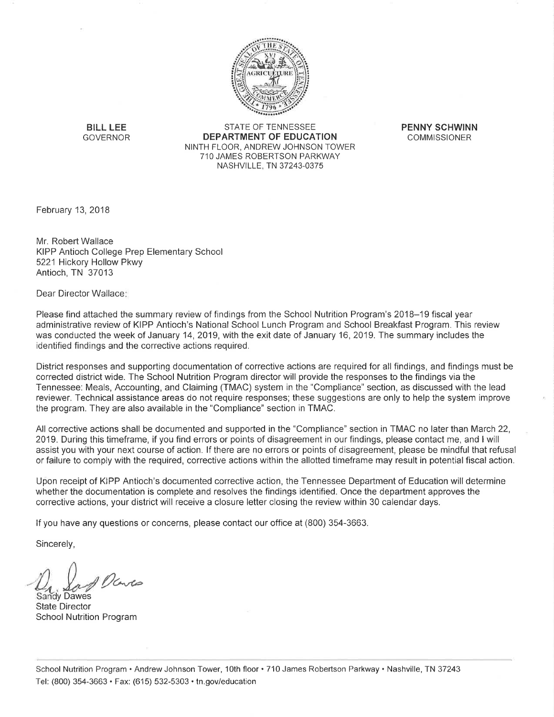

**BILL LEE** GOVERNOR

STATE OF TENNESSEE **DEPARTMENT OF EDUCATION** NINTH FLOOR, ANDREW JOHNSON TOWER 710 JAMES ROBERTSON PARKWAY NASHVILLE, TN 37243-0375

**PENNY SCHWINN COMMISSIONER** 

February 13, 2018

Mr. Robert Wallace KIPP Antioch College Prep Elementary School 5221 Hickory Hollow Pkwy Antioch, TN 37013

Dear Director Wallace:

Please find attached the summary review of findings from the School Nutrition Program's 2018-19 fiscal year administrative review of KIPP Antioch's National School Lunch Program and School Breakfast Program. This review was conducted the week of January 14, 2019, with the exit date of January 16, 2019. The summary includes the identified findings and the corrective actions required.

District responses and supporting documentation of corrective actions are required for all findings, and findings must be corrected district wide. The School Nutrition Program director will provide the responses to the findings via the Tennessee: Meals, Accounting, and Claiming (TMAC) system in the "Compliance" section, as discussed with the lead reviewer. Technical assistance areas do not require responses; these suggestions are only to help the system improve the program. They are also available in the "Compliance" section in TMAC.

All corrective actions shall be documented and supported in the "Compliance" section in TMAC no later than March 22, 2019. During this timeframe, if you find errors or points of disagreement in our findings, please contact me, and I will assist you with your next course of action. If there are no errors or points of disagreement, please be mindful that refusal or failure to comply with the required, corrective actions within the allotted timeframe may result in potential fiscal action.

Upon receipt of KIPP Antioch's documented corrective action, the Tennessee Department of Education will determine whether the documentation is complete and resolves the findings identified. Once the department approves the corrective actions, your district will receive a closure letter closing the review within 30 calendar days.

If you have any questions or concerns, please contact our office at (800) 354-3663.

Sincerely,

Sandy Dawes **State Director School Nutrition Program**